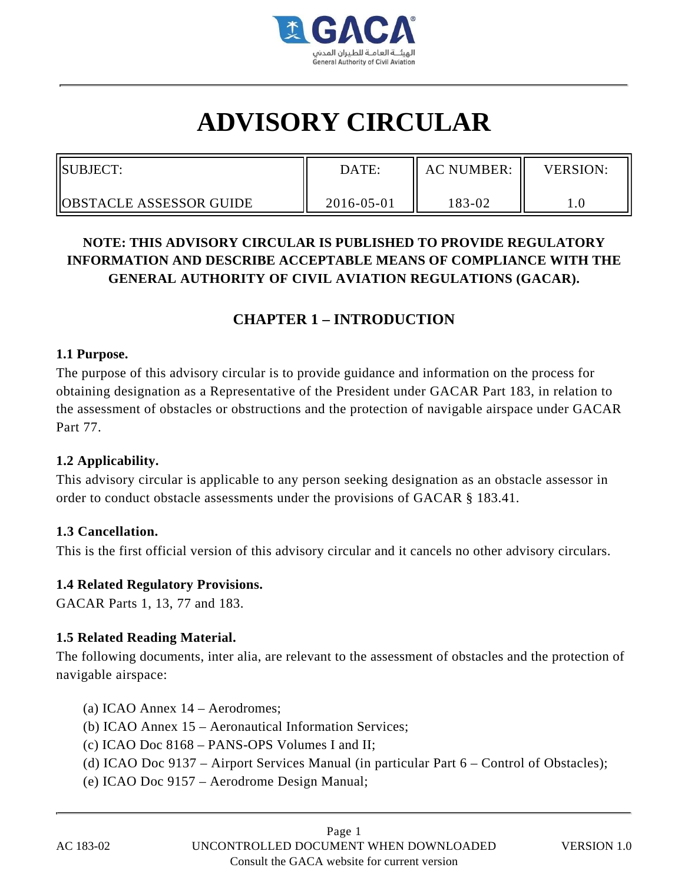

# **ADVISORY CIRCULAR**

| SUBJECT:                       | DATE:      | <b>AC NUMBER:</b> | <b>VERSION:</b> |
|--------------------------------|------------|-------------------|-----------------|
| <b>OBSTACLE ASSESSOR GUIDE</b> | 2016-05-01 | 183-02            |                 |

# **NOTE: THIS ADVISORY CIRCULAR IS PUBLISHED TO PROVIDE REGULATORY INFORMATION AND DESCRIBE ACCEPTABLE MEANS OF COMPLIANCE WITH THE GENERAL AUTHORITY OF CIVIL AVIATION REGULATIONS (GACAR).**

# **CHAPTER 1 – INTRODUCTION**

#### **1.1 Purpose.**

The purpose of this advisory circular is to provide guidance and information on the process for obtaining designation as a Representative of the President under GACAR Part 183, in relation to the assessment of obstacles or obstructions and the protection of navigable airspace under GACAR Part 77.

#### **1.2 Applicability.**

This advisory circular is applicable to any person seeking designation as an obstacle assessor in order to conduct obstacle assessments under the provisions of GACAR § 183.41.

#### **1.3 Cancellation.**

This is the first official version of this advisory circular and it cancels no other advisory circulars.

#### **1.4 Related Regulatory Provisions.**

GACAR Parts 1, 13, 77 and 183.

## **1.5 Related Reading Material.**

The following documents, inter alia, are relevant to the assessment of obstacles and the protection of navigable airspace:

- (a) ICAO Annex 14 Aerodromes;
- (b) ICAO Annex 15 Aeronautical Information Services;
- (c) ICAO Doc 8168 PANS-OPS Volumes I and II;
- (d) ICAO Doc 9137 Airport Services Manual (in particular Part 6 Control of Obstacles);
- (e) ICAO Doc 9157 Aerodrome Design Manual;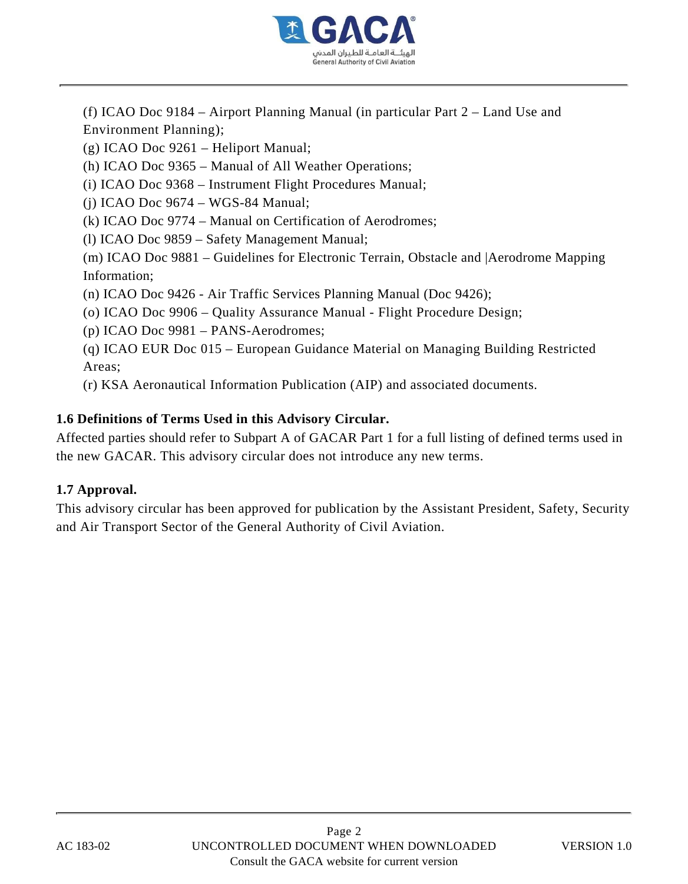

(f) ICAO Doc 9184 – Airport Planning Manual (in particular Part 2 – Land Use and Environment Planning);

(g) ICAO Doc 9261 – Heliport Manual;

(h) ICAO Doc 9365 – Manual of All Weather Operations;

(i) ICAO Doc 9368 – Instrument Flight Procedures Manual;

(j) ICAO Doc 9674 – WGS-84 Manual;

(k) ICAO Doc 9774 – Manual on Certification of Aerodromes;

(l) ICAO Doc 9859 – Safety Management Manual;

(m) ICAO Doc 9881 – Guidelines for Electronic Terrain, Obstacle and |Aerodrome Mapping Information;

(n) ICAO Doc 9426 - Air Traffic Services Planning Manual (Doc 9426);

(o) ICAO Doc 9906 – Quality Assurance Manual - Flight Procedure Design;

(p) ICAO Doc 9981 – PANS-Aerodromes;

(q) ICAO EUR Doc 015 – European Guidance Material on Managing Building Restricted Areas;

(r) KSA Aeronautical Information Publication (AIP) and associated documents.

#### **1.6 Definitions of Terms Used in this Advisory Circular.**

Affected parties should refer to Subpart A of GACAR Part 1 for a full listing of defined terms used in the new GACAR. This advisory circular does not introduce any new terms.

#### **1.7 Approval.**

This advisory circular has been approved for publication by the Assistant President, Safety, Security and Air Transport Sector of the General Authority of Civil Aviation.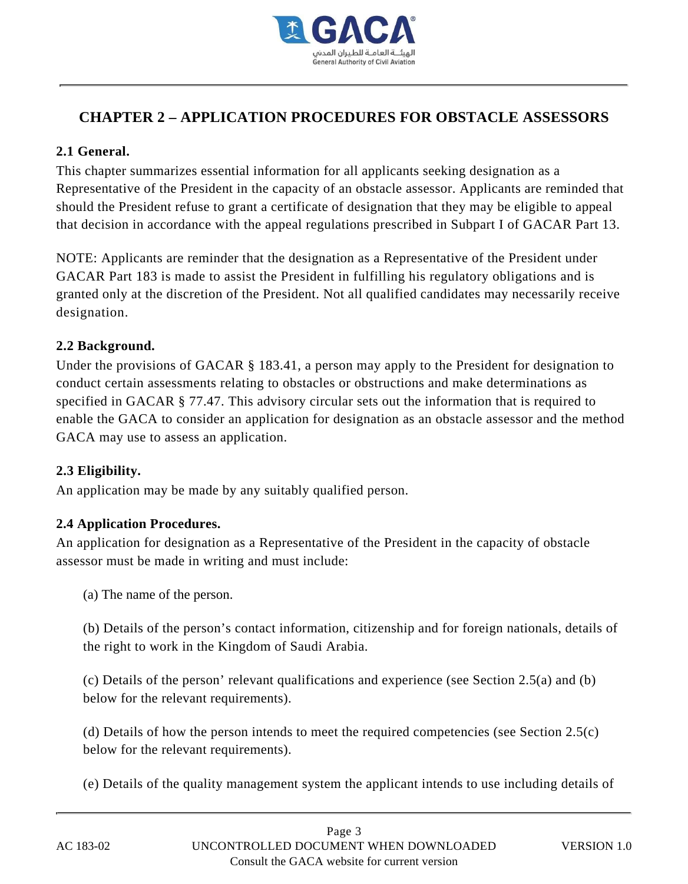

# **CHAPTER 2 – APPLICATION PROCEDURES FOR OBSTACLE ASSESSORS**

#### **2.1 General.**

This chapter summarizes essential information for all applicants seeking designation as a Representative of the President in the capacity of an obstacle assessor. Applicants are reminded that should the President refuse to grant a certificate of designation that they may be eligible to appeal that decision in accordance with the appeal regulations prescribed in Subpart I of GACAR Part 13.

NOTE: Applicants are reminder that the designation as a Representative of the President under GACAR Part 183 is made to assist the President in fulfilling his regulatory obligations and is granted only at the discretion of the President. Not all qualified candidates may necessarily receive designation.

#### **2.2 Background.**

Under the provisions of GACAR § 183.41, a person may apply to the President for designation to conduct certain assessments relating to obstacles or obstructions and make determinations as specified in GACAR § 77.47. This advisory circular sets out the information that is required to enable the GACA to consider an application for designation as an obstacle assessor and the method GACA may use to assess an application.

#### **2.3 Eligibility.**

An application may be made by any suitably qualified person.

#### **2.4 Application Procedures.**

An application for designation as a Representative of the President in the capacity of obstacle assessor must be made in writing and must include:

(a) The name of the person.

(b) Details of the person's contact information, citizenship and for foreign nationals, details of the right to work in the Kingdom of Saudi Arabia.

(c) Details of the person' relevant qualifications and experience (see Section 2.5(a) and (b) below for the relevant requirements).

(d) Details of how the person intends to meet the required competencies (see Section 2.5(c) below for the relevant requirements).

(e) Details of the quality management system the applicant intends to use including details of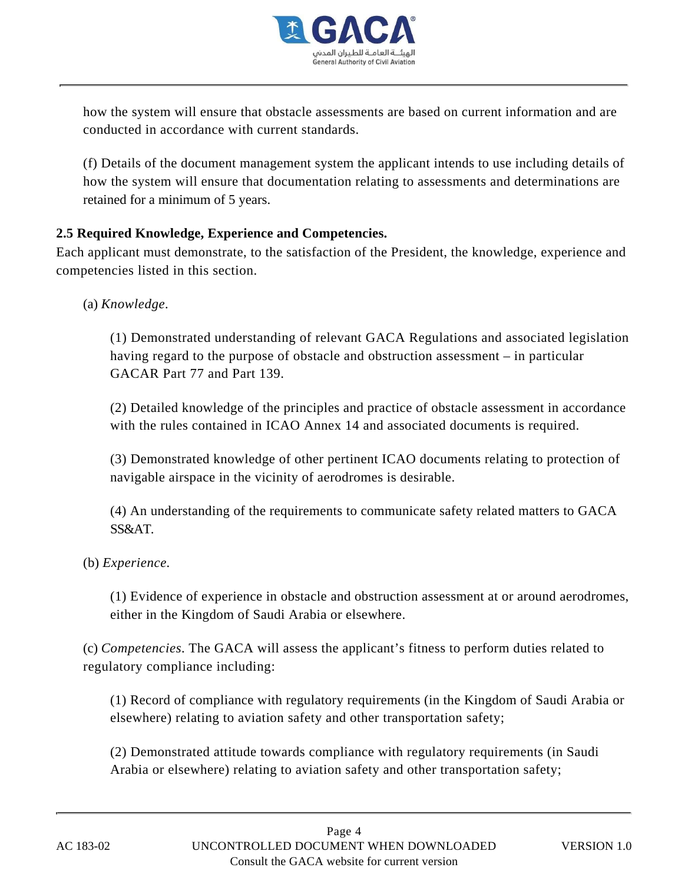

how the system will ensure that obstacle assessments are based on current information and are conducted in accordance with current standards.

(f) Details of the document management system the applicant intends to use including details of how the system will ensure that documentation relating to assessments and determinations are retained for a minimum of 5 years.

## **2.5 Required Knowledge, Experience and Competencies.**

Each applicant must demonstrate, to the satisfaction of the President, the knowledge, experience and competencies listed in this section.

(a) *Knowledge.*

(1) Demonstrated understanding of relevant GACA Regulations and associated legislation having regard to the purpose of obstacle and obstruction assessment – in particular GACAR Part 77 and Part 139.

(2) Detailed knowledge of the principles and practice of obstacle assessment in accordance with the rules contained in ICAO Annex 14 and associated documents is required.

(3) Demonstrated knowledge of other pertinent ICAO documents relating to protection of navigable airspace in the vicinity of aerodromes is desirable.

(4) An understanding of the requirements to communicate safety related matters to GACA SS&AT.

(b) *Experience.*

(1) Evidence of experience in obstacle and obstruction assessment at or around aerodromes, either in the Kingdom of Saudi Arabia or elsewhere.

(c) *Competencies.* The GACA will assess the applicant's fitness to perform duties related to regulatory compliance including:

(1) Record of compliance with regulatory requirements (in the Kingdom of Saudi Arabia or elsewhere) relating to aviation safety and other transportation safety;

(2) Demonstrated attitude towards compliance with regulatory requirements (in Saudi Arabia or elsewhere) relating to aviation safety and other transportation safety;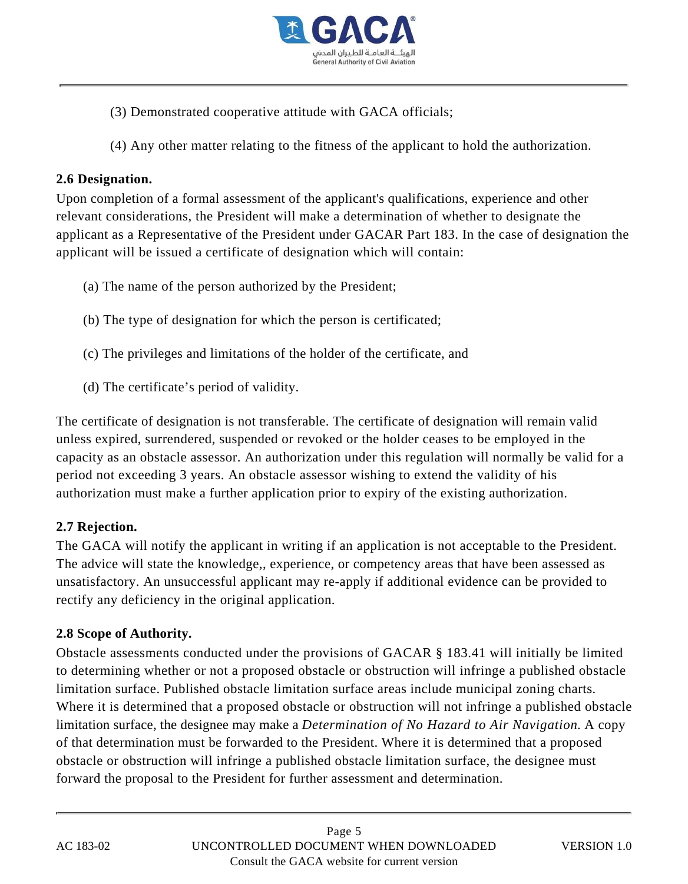

- (3) Demonstrated cooperative attitude with GACA officials;
- (4) Any other matter relating to the fitness of the applicant to hold the authorization.

#### **2.6 Designation.**

Upon completion of a formal assessment of the applicant's qualifications, experience and other relevant considerations, the President will make a determination of whether to designate the applicant as a Representative of the President under GACAR Part 183. In the case of designation the applicant will be issued a certificate of designation which will contain:

- (a) The name of the person authorized by the President;
- (b) The type of designation for which the person is certificated;
- (c) The privileges and limitations of the holder of the certificate, and
- (d) The certificate's period of validity.

The certificate of designation is not transferable. The certificate of designation will remain valid unless expired, surrendered, suspended or revoked or the holder ceases to be employed in the capacity as an obstacle assessor. An authorization under this regulation will normally be valid for a period not exceeding 3 years. An obstacle assessor wishing to extend the validity of his authorization must make a further application prior to expiry of the existing authorization.

## **2.7 Rejection.**

The GACA will notify the applicant in writing if an application is not acceptable to the President. The advice will state the knowledge,, experience, or competency areas that have been assessed as unsatisfactory. An unsuccessful applicant may re-apply if additional evidence can be provided to rectify any deficiency in the original application.

## **2.8 Scope of Authority.**

Obstacle assessments conducted under the provisions of GACAR § 183.41 will initially be limited to determining whether or not a proposed obstacle or obstruction will infringe a published obstacle limitation surface. Published obstacle limitation surface areas include municipal zoning charts. Where it is determined that a proposed obstacle or obstruction will not infringe a published obstacle limitation surface, the designee may make a *Determination of No Hazard to Air Navigation*. A copy of that determination must be forwarded to the President. Where it is determined that a proposed obstacle or obstruction will infringe a published obstacle limitation surface, the designee must forward the proposal to the President for further assessment and determination.